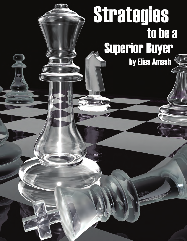# Strategies to be a Superior Buyer **by Elias Amash**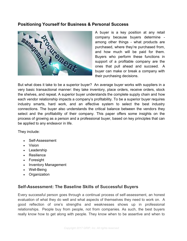

A buyer is a key position at any retail company because buyers determine among other things - what products are purchased, where they're purchased from, and how much will be paid for them. Buyers who perform these functions in support of a profitable company are the ones that pull ahead and succeed. A buyer can make or break a company with their purchasing decisions.

But what does it take to be a superior buyer? An average buyer works with suppliers in a very basic transactional manner: they take inventory, place orders, receive orders, stock the shelves, and repeat. A superior buyer understands the complete supply chain and how each vendor relationship impacts a company's profitability. To be a superior buyer requires industry smarts, hard work, and an effective system to select the best industry connections. The buyer also understands the critical balance between the vendors they select and the profitability of their company. This paper offers some insights on the process of growing as a person and a professional buyer, based on key principles that can be applied to any endeavor in life.

They include:

- Self-Assessment
- Vision
- Leadership
- Resilience
- Foresight
- Inventory Management
- Well-Being
- Organization

# **Self-Assessment: The Baseline Skills of Successful Buyers**

Every successful person goes through a continual process of self-assessment, an honest evaluation of what they do well and what aspects of themselves they need to work on. A good reflection of one's strengths and weaknesses shows up in professional relationships. People buy from people, not from companies. As such, the best buyers really know how to get along with people. They know when to be assertive and when to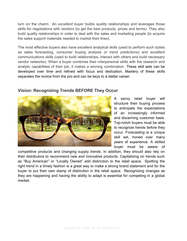turn on the charm. An *excellent* buyer builds quality relationships and leverages those skills for negotiations with vendors (to get the best products, prices and terms). They also build quality relationships in order to deal with the sales and marketing people (to acquire the sales support materials needed to market their lines).

The most effective buyers also have excellent analytical skills (used to perform such duties as sales forecasting, consumer buying analysis or trend predictions) and excellent communications skills (used to build relationships, interact with others and build necessary vendor networks). When a buyer combines their interpersonal skills with the research and analytic capabilities of their job, it makes a winning combination. These skill sets can be developed over time and refined with focus and dedication. Mastery of these skills separates the novice from the pro and can be keys to a stellar career.



# **Vision: Recognizing Trends BEFORE They Occur**

A savvy retail buyer will structure their buying process to anticipate the expectations of an increasingly informed and discerning customer base. Top-notch buyers must be able to recognize trends *before* they occur. Forecasting is a unique skill set, honed over many years of experience. A skilled buyer must be aware of

competitive products and changing supply trends. In addition, they should also rely on their distributors to recommend new and innovative products. Capitalizing on trends such as "Buy American" or "Locally Owned" add distinction to the retail space. Spotting the right trend in a timely fashion is a great way to make a strong brand statement and for the buyer to put their own stamp of distinction in the retail space. Recognizing changes as they are happening and having the ability to adapt is essential for competing in a global market.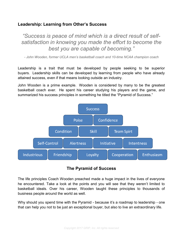# **Leadership: Learning from Other's Success**

*"Success is peace of mind which is a direct result of selfsatisfaction in knowing you made the effort to become the best you are capable of becoming."* 

*- John Wooden, former UCLA men's basketball coach and 10-time NCAA champion coach*

Leadership is a trait that must be developed by people seeking to be superior buyers. Leadership skills can be developed by learning from people who have already attained success, even if that means looking outside an industry.

John Wooden is a prime example. Wooden is considered by many to be the greatest basketball coach ever. He spent his career studying his players and the game, and summarized his success principles in something he titled the "Pyramid of Success."



# **The Pyramid of Success**

The life principles Coach Wooden preached made a huge impact in the lives of everyone he encountered. Take a look at the points and you will see that they weren't limited to basketball ideals. Over his career, Wooden taught these principles to thousands of business people around the world as well.

Why should you spend time with the Pyramid - because it's a roadmap to leadership - one that can help you not to be just an exceptional buyer, but also to live an extraordinary life.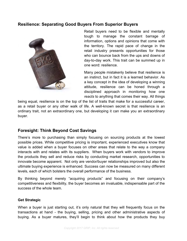# **Resilience: Separating Good Buyers From Superior Buyers**



Retail buyers need to be flexible and mentally tough to manage the constant barrage of information, options and opinions that come with the territory. The rapid pace of change in the retail industry presents opportunities for those who can bounce back from the ups and downs of day-to-day work. This trait can be summed up in one word: resilience.

Many people mistakenly believe that resilience is an instinct, but in fact it is a learned behavior. As a key concept in the idea of developing a winning attitude, resilience can be honed through a disciplined approach in monitoring how one *reacts* to anything that comes their way. All things

being equal, resilience is on the top of the list of traits that make for a successful career, as a retail buyer or any other walk of life. A well-known secret is that resilience is an ordinary trait, not an extraordinary one, but developing it can make you an extraordinary buyer.

# **Foresight: Think Beyond Cost Savings**

There's more to purchasing than simply focusing on sourcing products at the lowest possible prices. While competitive pricing is important, experienced executives know that value is added when a buyer focuses on other areas that relate to the way a company interacts with and relates with its suppliers. When buyers work with vendors to improve the products they sell and reduce risks by conducting market research, opportunities to innovate become apparent. Not only are vendor/buyer relationships improved but also the ultimate buying experience is enhanced. Success can now be measured on many different levels, each of which bolsters the overall performance of the business.

By thinking beyond merely "acquiring products" and focusing on their company's competitiveness and flexibility, the buyer becomes an invaluable, indispensable part of the success of the whole team.

#### **Get Strategic**

When a buyer is just starting out, it's only natural that they will frequently focus on the transactions at hand - the buying, selling, pricing and other administrative aspects of buying. As a buyer matures, they'll begin to think about how the products they buy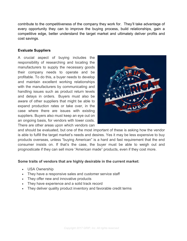contribute to the competitiveness of the company they work for. They'll take advantage of every opportunity they can to improve the buying process, build relationships, gain a competitive edge, better understand the target market and ultimately deliver profits and cost savings.

#### **Evaluate Suppliers**

A crucial aspect of buying includes the responsibility of researching and locating the manufacturers to supply the necessary goods their company needs to operate and be profitable. To do this, a buyer needs to develop and maintain excellent working relationships with the manufacturers by communicating and handling issues such as product return levels and delays in orders. Buyers must also be aware of other suppliers that might be able to expand production rates or take over, in the case where there are issues with existing suppliers. Buyers also must keep an eye out on an ongoing basis, for vendors with lower costs. There are other areas upon which vendors can



and should be evaluated, but one of the most important of these is asking how the vendor is able to fulfill the target market's needs and desires. Yes it may be less expensive to buy products overseas, unless "buying American" is a hard and fast requirement that the end consumer insists on. If that's the case, the buyer must be able to weigh out and prognosticate if they can sell more "American made" products, even if they cost more.

#### **Some traits of vendors that are highly desirable in the current market:**

- USA Ownership
- They have a responsive sales and customer service staff
- They offer new and innovative products
- They have experience and a solid track record
- They deliver quality product inventory and favorable credit terms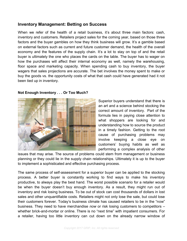# **Inventory Management: Betting on Success**

When we refer of the health of a retail business, it's about three main factors: cash, inventory and customers. Retailers project sales for the coming year, based on those three factors and the buyer gambles on how they think business will grow. It's a gamble based on external factors such as current and future customer demand, the health of the overall economy and the features of the supply chain. It's a lot to stay on top of and the retail buyer is ultimately the one who places the cards on the table. The buyer has to wager on how the purchases will affect their internal economy as well, namely the warehousing, floor space and marketing capacity. When spending cash to buy inventory, the buyer wagers that sales projections are accurate. The bet involves the money spent to make or buy the goods vs. the opportunity costs of what that cash could have generated had it not been tied up in inventory.

#### **Not Enough Inventory . . . Or Too Much?**



Superior buyers understand that there is an art and a science behind stocking the correct amount of inventory. Part of the formula lies in paying close attention to what shoppers are looking for and understanding how to source the product in a timely fashion. Getting to the root cause of purchasing problems may involve keeping a close eye on customers' buying habits as well as performing a complex analysis of other

issues that may arise. The source of problems could stem from management or business planning or they could lie in the supply chain relationships. Ultimately it is up to the buyer to implement a sophisticated and effective purchasing process.

The same process of self-assessment for a superior buyer can be applied to the stocking process. A better buyer is constantly working to find ways to make his inventory productive, to always play the best hand. The worst possible scenario for a retailer would be when the buyer doesn't buy enough inventory. As a result, they might run out of inventory and risk losing business. To be out of stock can cost thousands of dollars in lost sales and other unquantifiable costs. Retailers might not only lose the sale, but could lose their customers forever. Today's business climate has caused retailers to be in the "now" business. They need to have merchandise *now* or risk losing customers to competitors – whether brick-and-mortar or online. There is no "next time" with impatient consumers. For a retailer, having too little inventory can cut down on the already narrow window of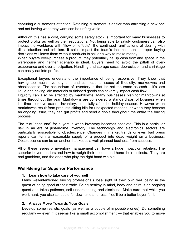capturing a customer's attention. Retaining customers is easier than attracting a new one and not having what they want can be unforgivable.

Although this has a cost, carrying some safety stock is important for many businesses to protect profits as well as their reputations. Not being able to satisfy customers can also impact the workforce with "flow on effects", the continued ramifications of dealing with dissatisfaction and criticism. If sales impact the team's income, then improper buying decisions will leave them without products to sell or a way to make money.

When buyers over-purchase a product, they potentially tie up cash flow and space in the warehouse and neither scenario is ideal. Buyers need to avoid the pitfall of overexuberance and over anticipation. Handling and storage costs, depreciation and shrinkage can easily eat into profits.

Exceptional buyers understand the importance of being responsive. They know that having too much inventory on hand can lead to issues of Illiquidity, markdowns and obsolescence. The conundrum of inventory is that it's not the same as cash  $-$  it's less liquid and having idle materials or finished goods can severely impact cash flow.

Liquidity can also be affected by markdowns. Many businesses plan for markdowns at times throughout the year. Markdowns are considered a standard part of business when it's time to move excess inventory, especially after the holiday season. However when markdowns result from products sitting idle for unexpected reasons, or when they become an ongoing issue, they can gut profits and send a ripple throughout the entire the buying process.

The true "dead end" for buyers is when inventory becomes obsolete. This is a particular risk in an era of just-in-time inventory. The technology and electronics sectors are particularly susceptible to obsolescence. Changes in market trends or even bad press reports can turn a reasonable supply of a product into dead weight on a business. Obsolescence can be an anchor that keeps a well-planned business from success.

All of these issues of inventory management can have a huge impact on retailers. The superior buyers understand how to weigh their options and hone their instincts. They are real gamblers, and the ones who play the right hand win big.

# **Well-Being for Superior Performance**

#### **1. Learn how to take care of yourself**

Many well-intentioned buying professionals lose sight of their own well being in the quest of being good at their trade. Being healthy in mind, body and spirit is an ongoing quest and takes patience, self-understanding and discipline. Make sure that while you work hard, you also schedule for downtime and rest. You'll be a better buyer for it.

#### **2. Always Move Towards Your Goals**

Develop some realistic goals (as well as a couple of impossible ones). Do something regularly — even if it seems like a small accomplishment — that enables you to move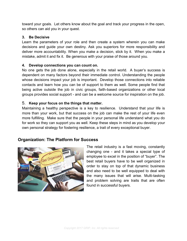toward your goals. Let others know about the goal and track your progress in the open, so others can aid you in your quest.

#### **3. Be Decisive**

Learn the parameters of your role and then create a system wherein you can make decisions and guide your own destiny. Ask you superiors for more responsibility and deliver more accountability. When you make a decision, stick by it. When you make a mistake, admit it and fix it. Be generous with your praise of those around you.

#### **4. Develop connections you can count on.**

No one gets the job done alone, especially in the retail world. A buyer's success is dependent on many factors beyond their immediate control. Understanding the people whose decisions impact your job is important. Develop those connections into reliable contacts and learn how you can be of support to them as well. Some people find that being active outside the job in civic groups, faith-based organizations or other local groups provides social support - and can be a welcome source for inspiration on the job.

### 5. **Keep your focus on the things that matter.**

Maintaining a healthy perspective is a key to resilience. Understand that your life is more than your work, but that success on the job can make the rest of your life even more fulfilling. Make sure that the people in your personal life understand what you do for work so they can support you as well. Keep these steps in mind as you develop your own personal strategy for fostering resilience, a trait of every exceptional buyer.

# **Organization: The Platform for Success**



The retail industry is a fast moving, constantly changing one - and it takes a special type of employee to excel in the position of "buyer". The best retail buyers have to be well organized in order to stay on top of that dynamic business and also need to be well equipped to deal with the many issues that will arise. Multi-tasking and problem solving are traits that are often found in successful buyers.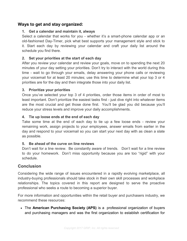# **Ways to get and stay organized:**

#### **1. Get a calendar and maintain it, always**

Select a calendar that works for you - whether it's a smart-phone calendar app or an old-fashioned Day-Timer, pick what best supports your management style and stick to it. Start each day by reviewing your calendar and craft your daily list around the schedule you find there.

#### **2. Set your priorities at the start of each day**

After you review your calendar and review your goals, move on to spending the next 20 minutes of your day setting your priorities. Don't try to interact with the world during this time - wait to go through your emails, delay answering your phone calls or reviewing your voicemail for at least 20 minutes; use this time to determine what your top 3 or 4 priorities are for the day and then integrate those into your daily list.

#### **3. Prioritize your priorities**

Once you've selected your top 3 of 4 priorities, order those items in order of most to least important. Don't prioritize the easiest tasks first - just dive right into whatever items are the most crucial and get those done first. You'll be glad you did because you'll reduce your stress levels and improve your daily accomplishments.

#### **4. Tie up loose ends at the end of each day**

Take some time at the end of each day to tie up a few loose ends - review your remaining work, assign projects to your employees, answer emails from earlier in the day and respond to your voicemail so you can start your next day with as clean a slate as possible.

#### **5. Be ahead of the curve on line reviews**

Don't wait for a line review. Be constantly aware of trends. Don't wait for a line review to do your homework. Don't miss opportunity because you are too "rigid" with your schedule.

# **Conclusion**

Considering the wide range of issues encountered in a rapidly evolving marketplace, all industry-buying professionals should take stock in their own skill processes and workplace relationships. The topics covered in this report are designed to serve the proactive professional who seeks a route to becoming a superior buyer.

For more information and opportunities within the retail buyer and purchasers industry, we recommend these resources:

 The **American Purchasing Society (APS)** is a professional organization of buyers and purchasing managers and was the first organization to establish certification for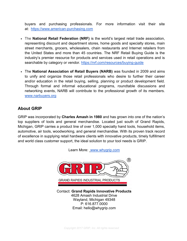buyers and purchasing professionals. For more information visit their site at: [https://www.american-purchasing.com](https://www.american-purchasing.com/)

- The **National Retail Federation (NRF)** is the world's largest retail trade association, representing discount and department stores, home goods and specialty stores, main street merchants, grocers, wholesalers, chain restaurants and Internet retailers from the United States and more than 45 countries. The NRF Retail Buying Guide is the industry's premier resource for products and services used in retail operations and is searchable by category or vendor. https://nrf.com/resources/buying-quide
- The **National Association of Retail Buyers (NARB)** was founded in 2009 and aims to unify and organize those retail professionals who desire to further their career and/or education in the retail buying, selling, planning or product development field. Through formal and informal educational programs, roundtable discussions and networking events, NARB will contribute to the professional growth of its members. [www.narbuyers.org](http://www.narbuyers.org/)

# **About GRIP**

GRIP was incorporated by **Charles Amash in 1980** and has grown into one of the nation's top suppliers of tools and general merchandise. Located just south of Grand Rapids, Michigan, GRIP carries a product line of over 1,000 specialty hand tools, household items, automotive, air tools, woodworking, and general merchandise. With its proven track record of excellence in supplying retail hardware clients with innovative products, timely fulfillment and world class customer support, the ideal solution to your tool needs is GRIP.

Learn More: [www.whygrip.com](http://www.whygrip.com/)



Contact: **Grand Rapids Innovative Products** 4628 Amash Industrial Drive Wayland, Michigan 49348 P: 616.877.0000 Email: hello@whygrip.com